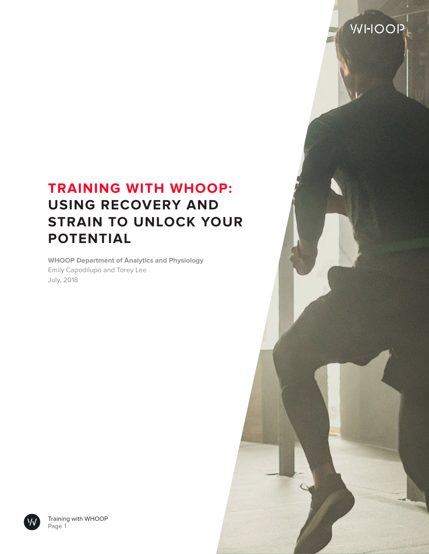# **TRAINING WITH WHOOP: USING RECOVERY AND STRAIN TO UNLOCK YOUR POTENTIAL**

**VVI-IOOP** 

**WHOOP Department of Analytics and Physiology** Emily Capodilupo and Torey Lee July, 2018



Training with WHOOP Page 1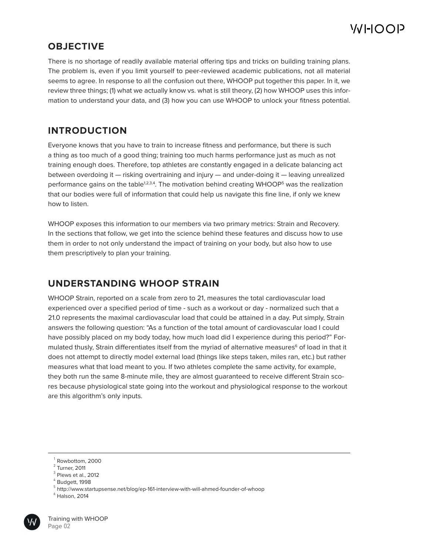### **OBJECTIVE**

There is no shortage of readily available material offering tips and tricks on building training plans. The problem is, even if you limit yourself to peer-reviewed academic publications, not all material seems to agree. In response to all the confusion out there, WHOOP put together this paper. In it, we review three things; (1) what we actually know vs. what is still theory, (2) how WHOOP uses this information to understand your data, and (3) how you can use WHOOP to unlock your fitness potential.

## **INTRODUCTION**

Everyone knows that you have to train to increase fitness and performance, but there is such a thing as too much of a good thing; training too much harms performance just as much as not training enough does. Therefore, top athletes are constantly engaged in a delicate balancing act between overdoing it — risking overtraining and injury — and under-doing it — leaving unrealized performance gains on the table<sup>1,2,3,4</sup>. The motivation behind creating WHOOP<sup>5</sup> was the realization that our bodies were full of information that could help us navigate this fine line, if only we knew how to listen.

WHOOP exposes this information to our members via two primary metrics: Strain and Recovery. In the sections that follow, we get into the science behind these features and discuss how to use them in order to not only understand the impact of training on your body, but also how to use them prescriptively to plan your training.

### **UNDERSTANDING WHOOP STRAIN**

WHOOP Strain, reported on a scale from zero to 21, measures the total cardiovascular load experienced over a specified period of time - such as a workout or day - normalized such that a 21.0 represents the maximal cardiovascular load that could be attained in a day. Put simply, Strain answers the following question: "As a function of the total amount of cardiovascular load I could have possibly placed on my body today, how much load did I experience during this period?" Formulated thusly, Strain differentiates itself from the myriad of alternative measures<sup>6</sup> of load in that it does not attempt to directly model external load (things like steps taken, miles ran, etc.) but rather measures what that load meant to you. If two athletes complete the same activity, for example, they both run the same 8-minute mile, they are almost guaranteed to receive different Strain scores because physiological state going into the workout and physiological response to the workout are this algorithm's only inputs.

 $^6$  Halson, 2014



 $1$  Rowbottom, 2000

 $2$  Turner, 2011

 $3$  Plews et al., 2012

 $^4$  Budgett, 1998

 $^5$  http://www.startupsense.net/blog/ep-161-interview-with-will-ahmed-founder-of-whoop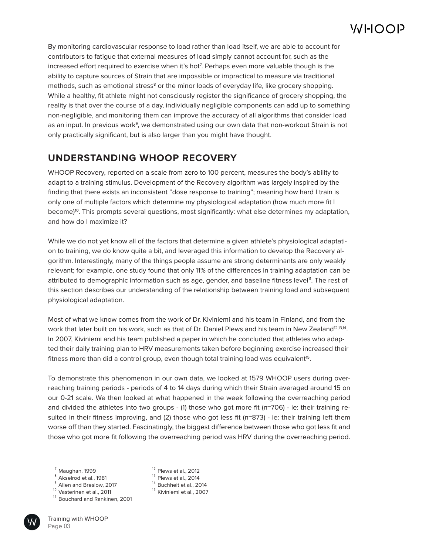By monitoring cardiovascular response to load rather than load itself, we are able to account for contributors to fatigue that external measures of load simply cannot account for, such as the increased effort required to exercise when it's hot7 . Perhaps even more valuable though is the ability to capture sources of Strain that are impossible or impractical to measure via traditional methods, such as emotional stress<sup>8</sup> or the minor loads of everyday life, like grocery shopping. While a healthy, fit athlete might not consciously register the significance of grocery shopping, the reality is that over the course of a day, individually negligible components can add up to something non-negligible, and monitoring them can improve the accuracy of all algorithms that consider load as an input. In previous work<sup>9</sup>, we demonstrated using our own data that non-workout Strain is not only practically significant, but is also larger than you might have thought.

## **UNDERSTANDING WHOOP RECOVERY**

WHOOP Recovery, reported on a scale from zero to 100 percent, measures the body's ability to adapt to a training stimulus. Development of the Recovery algorithm was largely inspired by the finding that there exists an inconsistent "dose response to training"; meaning how hard I train is only one of multiple factors which determine my physiological adaptation (how much more fit I become)<sup>10</sup>. This prompts several questions, most significantly: what else determines my adaptation, and how do I maximize it?

While we do not yet know all of the factors that determine a given athlete's physiological adaptation to training, we do know quite a bit, and leveraged this information to develop the Recovery algorithm. Interestingly, many of the things people assume are strong determinants are only weakly relevant; for example, one study found that only 11% of the differences in training adaptation can be attributed to demographic information such as age, gender, and baseline fitness level<sup>11</sup>. The rest of this section describes our understanding of the relationship between training load and subsequent physiological adaptation.

Most of what we know comes from the work of Dr. Kiviniemi and his team in Finland, and from the work that later built on his work, such as that of Dr. Daniel Plews and his team in New Zealand<sup>12,13,14</sup>. In 2007, Kiviniemi and his team published a paper in which he concluded that athletes who adapted their daily training plan to HRV measurements taken before beginning exercise increased their fitness more than did a control group, even though total training load was equivalent<sup>15</sup>.

To demonstrate this phenomenon in our own data, we looked at 1579 WHOOP users during overreaching training periods - periods of 4 to 14 days during which their Strain averaged around 15 on our 0-21 scale. We then looked at what happened in the week following the overreaching period and divided the athletes into two groups - (1) those who got more fit (n=706) - ie: their training resulted in their fitness improving, and (2) those who got less fit (n=873) - ie: their training left them worse off than they started. Fascinatingly, the biggest difference between those who got less fit and those who got more fit following the overreaching period was HRV during the overreaching period.

- Akselrod et al., 1981 8
- $^\circ$  Allen and Breslow, 2017
- <sup>10</sup> Vasterinen et al., 2011

<sup>&</sup>lt;sup>11</sup> Bouchard and Rankinen, 2001



- $12$  Plews et al., 2012
- $^{13}$  Plews et al., 2014
- $14$  Buchheit et al., 2014
- $^{15}$  Kiviniemi et al., 2007

Maughan, 1999 7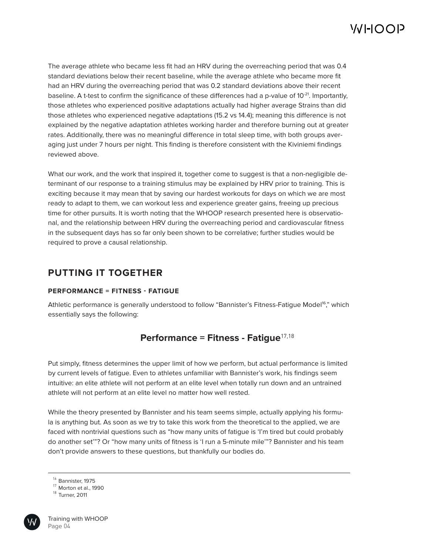The average athlete who became less fit had an HRV during the overreaching period that was 0.4 standard deviations below their recent baseline, while the average athlete who became more fit had an HRV during the overreaching period that was 0.2 standard deviations above their recent baseline. A t-test to confirm the significance of these differences had a p-value of  $10^{-21}$ . Importantly, those athletes who experienced positive adaptations actually had higher average Strains than did those athletes who experienced negative adaptations (15.2 vs 14.4); meaning this difference is not explained by the negative adaptation athletes working harder and therefore burning out at greater rates. Additionally, there was no meaningful difference in total sleep time, with both groups averaging just under 7 hours per night. This finding is therefore consistent with the Kiviniemi findings reviewed above.

What our work, and the work that inspired it, together come to suggest is that a non-negligible determinant of our response to a training stimulus may be explained by HRV prior to training. This is exciting because it may mean that by saving our hardest workouts for days on which we are most ready to adapt to them, we can workout less and experience greater gains, freeing up precious time for other pursuits. It is worth noting that the WHOOP research presented here is observational, and the relationship between HRV during the overreaching period and cardiovascular fitness in the subsequent days has so far only been shown to be correlative; further studies would be required to prove a causal relationship.

### **PUTTING IT TOGETHER**

#### **PERFORMANCE = FITNESS - FATIGUE**

Athletic performance is generally understood to follow "Bannister's Fitness-Fatigue Model<sup>16</sup>," which essentially says the following:

### **Performance = Fitness - Fatigue**17,18

Put simply, fitness determines the upper limit of how we perform, but actual performance is limited by current levels of fatigue. Even to athletes unfamiliar with Bannister's work, his findings seem intuitive: an elite athlete will not perform at an elite level when totally run down and an untrained athlete will not perform at an elite level no matter how well rested.

While the theory presented by Bannister and his team seems simple, actually applying his formula is anything but. As soon as we try to take this work from the theoretical to the applied, we are faced with nontrivial questions such as "how many units of fatigue is 'I'm tired but could probably do another set'"? Or "how many units of fitness is 'I run a 5-minute mile'"? Bannister and his team don't provide answers to these questions, but thankfully our bodies do.



 $16$  Bannister, 1975

Morton et al., 1990 17

Turner, 2011 18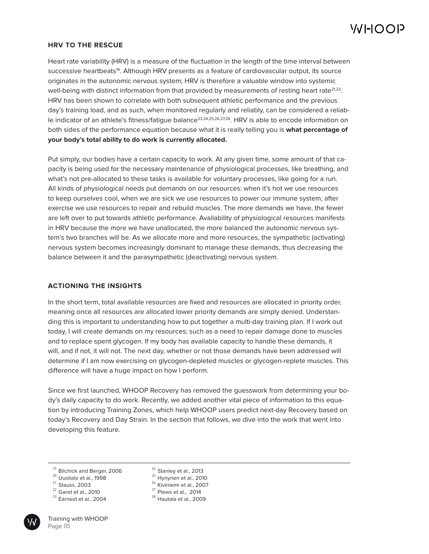#### **HRV TO THE RESCUE**

Heart rate variability (HRV) is a measure of the fluctuation in the length of the time interval between successive heartbeats<sup>19</sup>. Although HRV presents as a feature of cardiovascular output, its source originates in the autonomic nervous system; HRV is therefore a valuable window into systemic well-being with distinct information from that provided by measurements of resting heart rate $2^{1,22}$ . HRV has been shown to correlate with both subsequent athletic performance and the previous day's training load, and as such, when monitored regularly and reliably, can be considered a reliable indicator of an athlete's fitness/fatique balance<sup>23,24,25,26,27,28</sup>. HRV is able to encode information on both sides of the performance equation because what it is really telling you is **what percentage of your body's total ability to do work is currently allocated.** 

Put simply, our bodies have a certain capacity to work. At any given time, some amount of that capacity is being used for the necessary maintenance of physiological processes, like breathing, and what's not pre-allocated to these tasks is available for voluntary processes, like going for a run. All kinds of physiological needs put demands on our resources: when it's hot we use resources to keep ourselves cool, when we are sick we use resources to power our immune system, after exercise we use resources to repair and rebuild muscles. The more demands we have, the fewer are left over to put towards athletic performance. Availability of physiological resources manifests in HRV because the more we have unallocated, the more balanced the autonomic nervous system's two branches will be. As we allocate more and more resources, the sympathetic (activating) nervous system becomes increasingly dominant to manage these demands, thus decreasing the balance between it and the parasympathetic (deactivating) nervous system.

#### **ACTIONING THE INSIGHTS**

In the short term, total available resources are fixed and resources are allocated in priority order, meaning once all resources are allocated lower priority demands are simply denied. Understanding this is important to understanding how to put together a multi-day training plan. If I work out today, I will create demands on my resources; such as a need to repair damage done to muscles and to replace spent glycogen. If my body has available capacity to handle these demands, it will, and if not, it will not. The next day, whether or not those demands have been addressed will determine if I am now exercising on glycogen-depleted muscles or glycogen-replete muscles. This difference will have a huge impact on how I perform.

Since we first launched, WHOOP Recovery has removed the guesswork from determining your body's daily capacity to do work. Recently, we added another vital piece of information to this equation by introducing Training Zones, which help WHOOP users predict next-day Recovery based on today's Recovery and Day Strain. In the section that follows, we dive into the work that went into developing this feature.

- $21$  Stauss, 2003
- $22$  Garet et al., 2010
- $^{23}$  Earnest et al., 2004
- $^{24}$  Stanley et al., 2013
- $^{25}$  Hynynen et al., 2010
- <sup>26</sup> Kiviniemi et al., 2007
- $^{27}$  Plews et al., 2014
- $^{28}$  Hautala et al., 2009

<sup>&</sup>lt;sup>19</sup> Bilchick and Berger, 2006

 $^{20}$  Uusitalo et al., 1998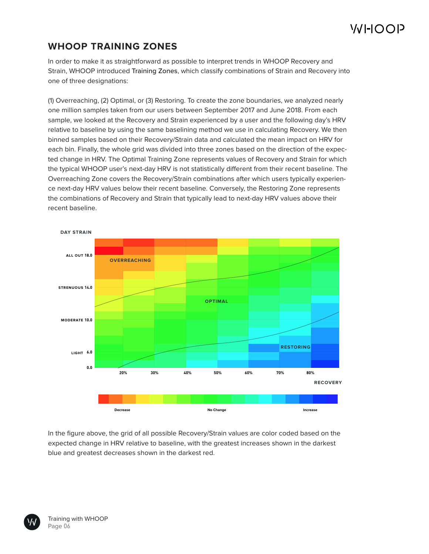# VJHOOP

## **WHOOP TRAINING ZONES**

In order to make it as straightforward as possible to interpret trends in WHOOP Recovery and Strain, WHOOP introduced Training Zones, which classify combinations of Strain and Recovery into one of three designations:

(1) Overreaching, (2) Optimal, or (3) Restoring. To create the zone boundaries, we analyzed nearly one million samples taken from our users between September 2017 and June 2018. From each sample, we looked at the Recovery and Strain experienced by a user and the following day's HRV relative to baseline by using the same baselining method we use in calculating Recovery. We then binned samples based on their Recovery/Strain data and calculated the mean impact on HRV for each bin. Finally, the whole grid was divided into three zones based on the direction of the expected change in HRV. The Optimal Training Zone represents values of Recovery and Strain for which the typical WHOOP user's next-day HRV is not statistically different from their recent baseline. The Overreaching Zone covers the Recovery/Strain combinations after which users typically experience next-day HRV values below their recent baseline. Conversely, the Restoring Zone represents the combinations of Recovery and Strain that typically lead to next-day HRV values above their recent baseline.



In the figure above, the grid of all possible Recovery/Strain values are color coded based on the expected change in HRV relative to baseline, with the greatest increases shown in the darkest blue and greatest decreases shown in the darkest red.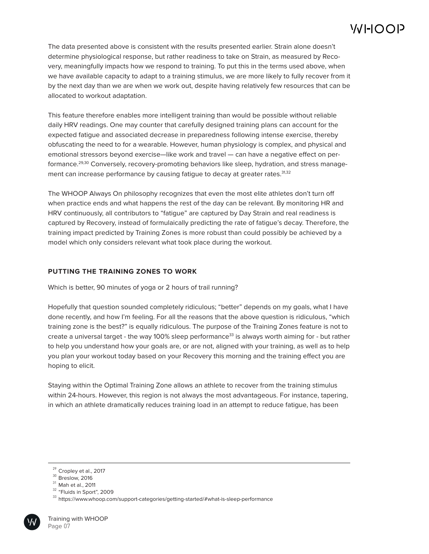The data presented above is consistent with the results presented earlier. Strain alone doesn't determine physiological response, but rather readiness to take on Strain, as measured by Recovery, meaningfully impacts how we respond to training. To put this in the terms used above, when we have available capacity to adapt to a training stimulus, we are more likely to fully recover from it by the next day than we are when we work out, despite having relatively few resources that can be allocated to workout adaptation.

This feature therefore enables more intelligent training than would be possible without reliable daily HRV readings. One may counter that carefully designed training plans can account for the expected fatigue and associated decrease in preparedness following intense exercise, thereby obfuscating the need to for a wearable. However, human physiology is complex, and physical and emotional stressors beyond exercise—like work and travel — can have a negative effect on performance.29,30 Conversely, recovery-promoting behaviors like sleep, hydration, and stress management can increase performance by causing fatique to decay at greater rates.<sup>31,32</sup>

The WHOOP Always On philosophy recognizes that even the most elite athletes don't turn off when practice ends and what happens the rest of the day can be relevant. By monitoring HR and HRV continuously, all contributors to "fatigue" are captured by Day Strain and real readiness is captured by Recovery, instead of formulaically predicting the rate of fatigue's decay. Therefore, the training impact predicted by Training Zones is more robust than could possibly be achieved by a model which only considers relevant what took place during the workout.

#### **PUTTING THE TRAINING ZONES TO WORK**

Which is better, 90 minutes of yoga or 2 hours of trail running?

Hopefully that question sounded completely ridiculous; "better" depends on my goals, what I have done recently, and how I'm feeling. For all the reasons that the above question is ridiculous, "which training zone is the best?" is equally ridiculous. The purpose of the Training Zones feature is not to create a universal target - the way 100% sleep performance<sup>33</sup> is always worth aiming for - but rather to help you understand how your goals are, or are not, aligned with your training, as well as to help you plan your workout today based on your Recovery this morning and the training effect you are hoping to elicit.

Staying within the Optimal Training Zone allows an athlete to recover from the training stimulus within 24-hours. However, this region is not always the most advantageous. For instance, tapering, in which an athlete dramatically reduces training load in an attempt to reduce fatigue, has been



 $^{29}$  Cropley et al., 2017

 $30$  Breslow, 2016

 $31$  Mah et al., 2011

 $32$  "Fluids in Sport", 2009

 $^{\rm 33}$  https://www.whoop.com/support-categories/getting-started/#what-is-sleep-performance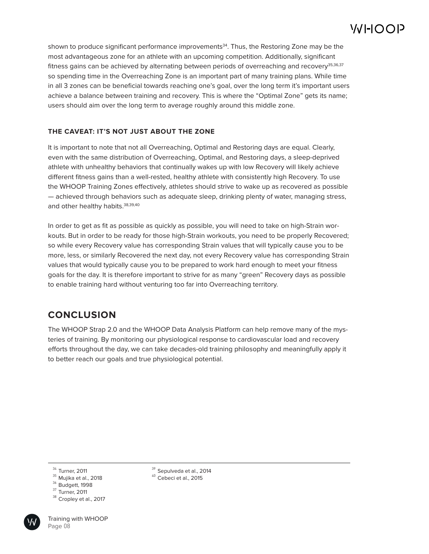shown to produce significant performance improvements<sup>34</sup>. Thus, the Restoring Zone may be the most advantageous zone for an athlete with an upcoming competition. Additionally, significant fitness gains can be achieved by alternating between periods of overreaching and recovery<sup>35,36,37</sup> so spending time in the Overreaching Zone is an important part of many training plans. While time in all 3 zones can be beneficial towards reaching one's goal, over the long term it's important users achieve a balance between training and recovery. This is where the "Optimal Zone" gets its name; users should aim over the long term to average roughly around this middle zone.

#### **THE CAVEAT: IT'S NOT JUST ABOUT THE ZONE**

It is important to note that not all Overreaching, Optimal and Restoring days are equal. Clearly, even with the same distribution of Overreaching, Optimal, and Restoring days, a sleep-deprived athlete with unhealthy behaviors that continually wakes up with low Recovery will likely achieve different fitness gains than a well-rested, healthy athlete with consistently high Recovery. To use the WHOOP Training Zones effectively, athletes should strive to wake up as recovered as possible — achieved through behaviors such as adequate sleep, drinking plenty of water, managing stress, and other healthy habits. 38,39,40

In order to get as fit as possible as quickly as possible, you will need to take on high-Strain workouts. But in order to be ready for those high-Strain workouts, you need to be properly Recovered; so while every Recovery value has corresponding Strain values that will typically cause you to be more, less, or similarly Recovered the next day, not every Recovery value has corresponding Strain values that would typically cause you to be prepared to work hard enough to meet your fitness goals for the day. It is therefore important to strive for as many "green" Recovery days as possible to enable training hard without venturing too far into Overreaching territory.

### **CONCLUSION**

The WHOOP Strap 2.0 and the WHOOP Data Analysis Platform can help remove many of the mysteries of training. By monitoring our physiological response to cardiovascular load and recovery efforts throughout the day, we can take decades-old training philosophy and meaningfully apply it to better reach our goals and true physiological potential.

- $^{\rm 35}$  Mujika et al., 2018
- $36$  Budgett, 1998
- $37$  Turner, 2011
- $^{38}$  Cropley et al., 2017

Training with WHOOP Page 08

 $^{39}$  Sepulveda et al., 2014

 $^{40}$  Cebeci et al., 2015

 $34$  Turner, 2011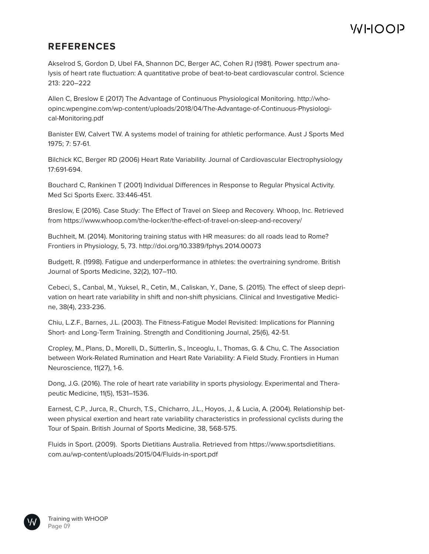## **REFERENCES**

Akselrod S, Gordon D, Ubel FA, Shannon DC, Berger AC, Cohen RJ (1981). Power spectrum analysis of heart rate fluctuation: A quantitative probe of beat-to-beat cardiovascular control. Science 213: 220–222

Allen C, Breslow E (2017) The Advantage of Continuous Physiological Monitoring. http://whoopinc.wpengine.com/wp-content/uploads/2018/04/The-Advantage-of-Continuous-Physiological-Monitoring.pdf

Banister EW, Calvert TW. A systems model of training for athletic performance. Aust J Sports Med 1975; 7: 57-61.

Bilchick KC, Berger RD (2006) Heart Rate Variability. Journal of Cardiovascular Electrophysiology 17:691-694.

Bouchard C, Rankinen T (2001) Individual Differences in Response to Regular Physical Activity. Med Sci Sports Exerc. 33:446-451.

Breslow, E (2016). Case Study: The Effect of Travel on Sleep and Recovery. Whoop, Inc. Retrieved from https://www.whoop.com/the-locker/the-effect-of-travel-on-sleep-and-recovery/

Buchheit, M. (2014). Monitoring training status with HR measures: do all roads lead to Rome? Frontiers in Physiology, 5, 73. http://doi.org/10.3389/fphys.2014.00073

Budgett, R. (1998). Fatigue and underperformance in athletes: the overtraining syndrome. British Journal of Sports Medicine, 32(2), 107–110.

Cebeci, S., Canbal, M., Yuksel, R., Cetin, M., Caliskan, Y., Dane, S. (2015). The effect of sleep deprivation on heart rate variability in shift and non-shift physicians. Clinical and Investigative Medicine, 38(4), 233-236.

Chiu, L.Z.F., Barnes, J.L. (2003). The Fitness-Fatigue Model Revisited: Implications for Planning Short- and Long-Term Training. Strength and Conditioning Journal, 25(6), 42-51.

Cropley, M., Plans, D., Morelli, D., Sütterlin, S., Inceoglu, I., Thomas, G. & Chu, C. The Association between Work-Related Rumination and Heart Rate Variability: A Field Study. Frontiers in Human Neuroscience, 11(27), 1-6.

Dong, J.G. (2016). The role of heart rate variability in sports physiology. Experimental and Therapeutic Medicine, 11(5), 1531–1536.

Earnest, C.P., Jurca, R., Church, T.S., Chicharro, J.L., Hoyos, J., & Lucia, A. (2004). Relationship between physical exertion and heart rate variability characteristics in professional cyclists during the Tour of Spain. British Journal of Sports Medicine, 38, 568-575.

Fluids in Sport. (2009). Sports Dietitians Australia. Retrieved from https://www.sportsdietitians. com.au/wp-content/uploads/2015/04/Fluids-in-sport.pdf

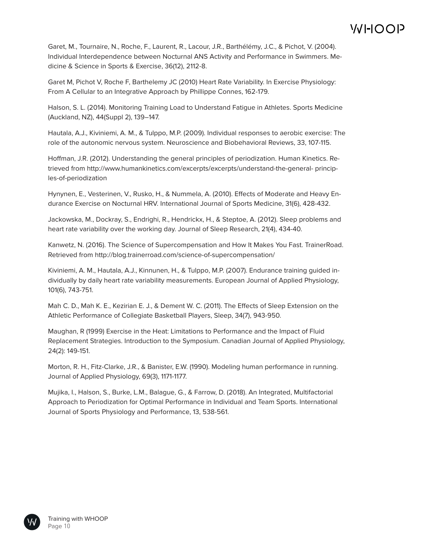Garet, M., Tournaire, N., Roche, F., Laurent, R., Lacour, J.R., Barthélémy, J.C., & Pichot, V. (2004). Individual Interdependence between Nocturnal ANS Activity and Performance in Swimmers. Medicine & Science in Sports & Exercise, 36(12), 2112-8.

Garet M, Pichot V, Roche F, Barthelemy JC (2010) Heart Rate Variability. In Exercise Physiology: From A Cellular to an Integrative Approach by Phillippe Connes, 162-179.

Halson, S. L. (2014). Monitoring Training Load to Understand Fatigue in Athletes. Sports Medicine (Auckland, NZ), 44(Suppl 2), 139–147.

Hautala, A.J., Kiviniemi, A. M., & Tulppo, M.P. (2009). Individual responses to aerobic exercise: The role of the autonomic nervous system. Neuroscience and Biobehavioral Reviews, 33, 107-115.

Hoffman, J.R. (2012). Understanding the general principles of periodization. Human Kinetics. Retrieved from http://www.humankinetics.com/excerpts/excerpts/understand-the-general- principles-of-periodization

Hynynen, E., Vesterinen, V., Rusko, H., & Nummela, A. (2010). Effects of Moderate and Heavy Endurance Exercise on Nocturnal HRV. International Journal of Sports Medicine, 31(6), 428-432.

Jackowska, M., Dockray, S., Endrighi, R., Hendrickx, H., & Steptoe, A. (2012). Sleep problems and heart rate variability over the working day. Journal of Sleep Research, 21(4), 434-40.

Kanwetz, N. (2016). The Science of Supercompensation and How It Makes You Fast. TrainerRoad. Retrieved from http://blog.trainerroad.com/science-of-supercompensation/

Kiviniemi, A. M., Hautala, A.J., Kinnunen, H., & Tulppo, M.P. (2007). Endurance training guided individually by daily heart rate variability measurements. European Journal of Applied Physiology, 101(6), 743-751.

Mah C. D., Mah K. E., Kezirian E. J., & Dement W. C. (2011). The Effects of Sleep Extension on the Athletic Performance of Collegiate Basketball Players, Sleep, 34(7), 943-950.

Maughan, R (1999) Exercise in the Heat: Limitations to Performance and the Impact of Fluid Replacement Strategies. Introduction to the Symposium. Canadian Journal of Applied Physiology, 24(2): 149-151.

Morton, R. H., Fitz-Clarke, J.R., & Banister, E.W. (1990). Modeling human performance in running. Journal of Applied Physiology, 69(3), 1171-1177.

Mujika, I., Halson, S., Burke, L.M., Balague, G., & Farrow, D. (2018). An Integrated, Multifactorial Approach to Periodization for Optimal Performance in Individual and Team Sports. International Journal of Sports Physiology and Performance, 13, 538-561.